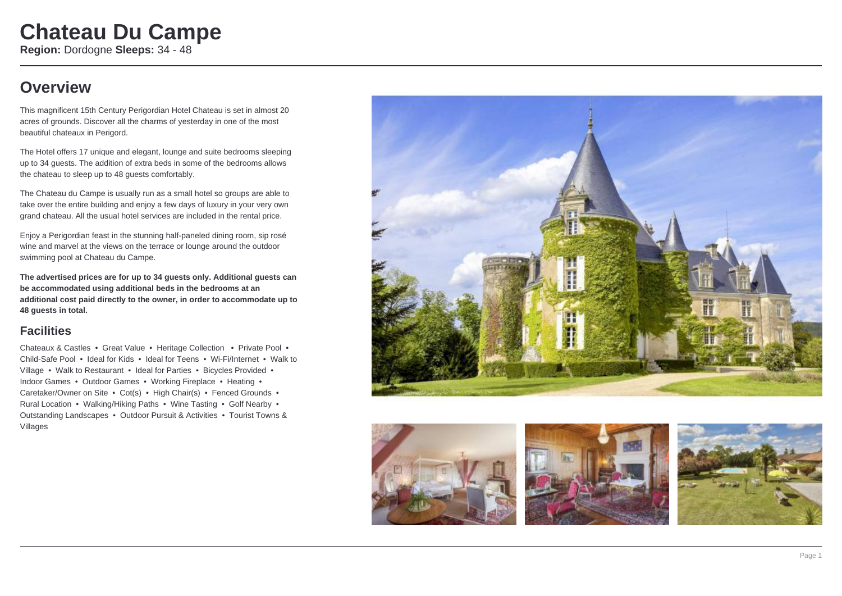### **Overview**

This magnificent 15th Century Perigordian Hotel Chateau is set in almost 20 acres of grounds. Discover all the charms of yesterday in one of the most beautiful chateaux in Perigord.

The Hotel offers 17 unique and elegant, lounge and suite bedrooms sleeping up to 34 guests. The addition of extra beds in some of the bedrooms allows the chateau to sleep up to 48 guests comfortably.

The Chateau du Campe is usually run as a small hotel so groups are able to take over the entire building and enjoy a few days of luxury in your very own grand chateau. All the usual hotel services are included in the rental price.

Enjoy a Perigordian feast in the stunning half-paneled dining room, sip rosé wine and marvel at the views on the terrace or lounge around the outdoor swimming pool at Chateau du Campe.

**The advertised prices are for up to 34 guests only. Additional guests can be accommodated using additional beds in the bedrooms at an additional cost paid directly to the owner, in order to accommodate up to 48 guests in total.**

#### **Facilities**

Chateaux & Castles • Great Value • Heritage Collection • Private Pool • Child-Safe Pool • Ideal for Kids • Ideal for Teens • Wi-Fi/Internet • Walk to Village • Walk to Restaurant • Ideal for Parties • Bicycles Provided • Indoor Games • Outdoor Games • Working Fireplace • Heating • Caretaker/Owner on Site • Cot(s) • High Chair(s) • Fenced Grounds • Rural Location • Walking/Hiking Paths • Wine Tasting • Golf Nearby • Outstanding Landscapes • Outdoor Pursuit & Activities • Tourist Towns & Villages



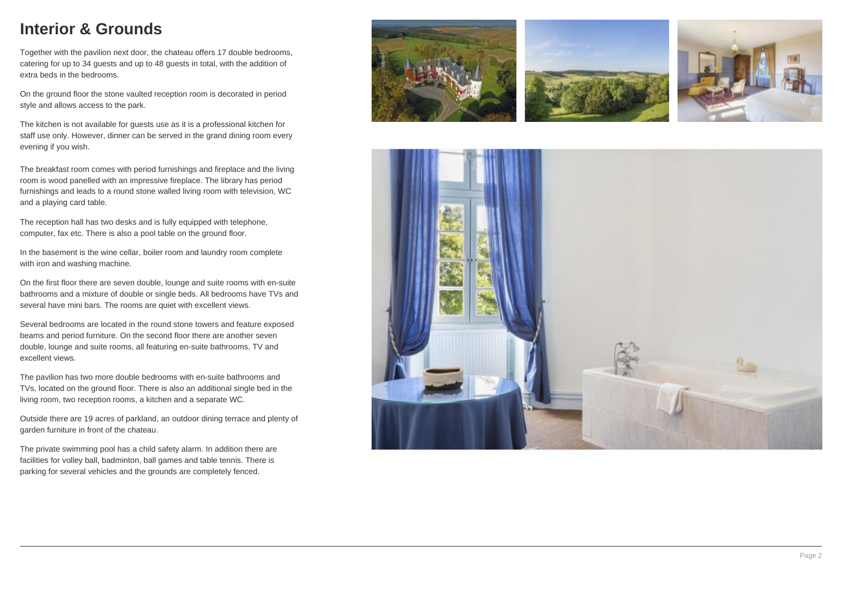## **Interior & Grounds**

Together with the pavilion next door, the chateau offers 17 double bedrooms, catering for up to 34 guests and up to 48 guests in total, with the addition of extra beds in the bedrooms.

On the ground floor the stone vaulted reception room is decorated in period style and allows access to the park.

The kitchen is not available for guests use as it is a professional kitchen for staff use only. However, dinner can be served in the grand dining room every evening if you wish.

The breakfast room comes with period furnishings and fireplace and the living room is wood panelled with an impressive fireplace. The library has period furnishings and leads to a round stone walled living room with television, WC and a playing card table.

The reception hall has two desks and is fully equipped with telephone, computer, fax etc. There is also a pool table on the ground floor.

In the basement is the wine cellar, boiler room and laundry room complete with iron and washing machine.

On the first floor there are seven double, lounge and suite rooms with en-suite bathrooms and a mixture of double or single beds. All bedrooms have TVs and several have mini bars. The rooms are quiet with excellent views.

Several bedrooms are located in the round stone towers and feature exposed beams and period furniture. On the second floor there are another seven double, lounge and suite rooms, all featuring en-suite bathrooms, TV and excellent views.

The pavilion has two more double bedrooms with en-suite bathrooms and TVs, located on the ground floor. There is also an additional single bed in the living room, two reception rooms, a kitchen and a separate WC.

Outside there are 19 acres of parkland, an outdoor dining terrace and plenty of garden furniture in front of the chateau.

The private swimming pool has a child safety alarm. In addition there are facilities for volley ball, badminton, ball games and table tennis. There is parking for several vehicles and the grounds are completely fenced.







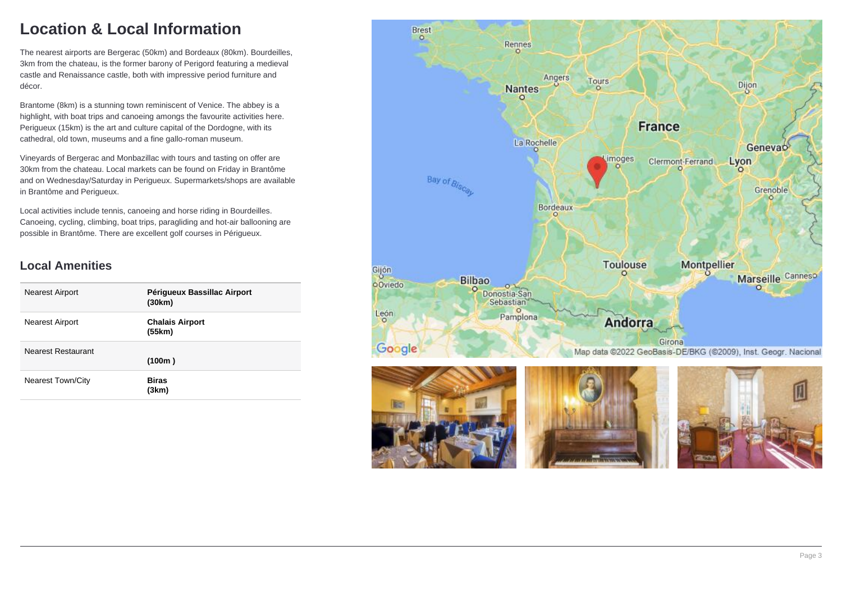## **Location & Local Information**

The nearest airports are Bergerac (50km) and Bordeaux (80km). Bourdeilles, 3km from the chateau, is the former barony of Perigord featuring a medieval castle and Renaissance castle, both with impressive period furniture and décor.

Brantome (8km) is a stunning town reminiscent of Venice. The abbey is a highlight, with boat trips and canoeing amongs the favourite activities here. Perigueux (15km) is the art and culture capital of the Dordogne, with its cathedral, old town, museums and a fine gallo-roman museum.

Vineyards of Bergerac and Monbazillac with tours and tasting on offer are 30km from the chateau. Local markets can be found on Friday in Brantôme and on Wednesday/Saturday in Perigueux. Supermarkets/shops are available in Brantôme and Perigueux.

Local activities include tennis, canoeing and horse riding in Bourdeilles. Canoeing, cycling, climbing, boat trips, paragliding and hot-air ballooning are possible in Brantôme. There are excellent golf courses in Périgueux.

### **Local Amenities**

| <b>Nearest Airport</b>   | Périgueux Bassillac Airport<br>(30km) |
|--------------------------|---------------------------------------|
| <b>Nearest Airport</b>   | <b>Chalais Airport</b><br>(55km)      |
| Nearest Restaurant       | (100m)                                |
| <b>Nearest Town/City</b> | Biras<br>(3km)                        |

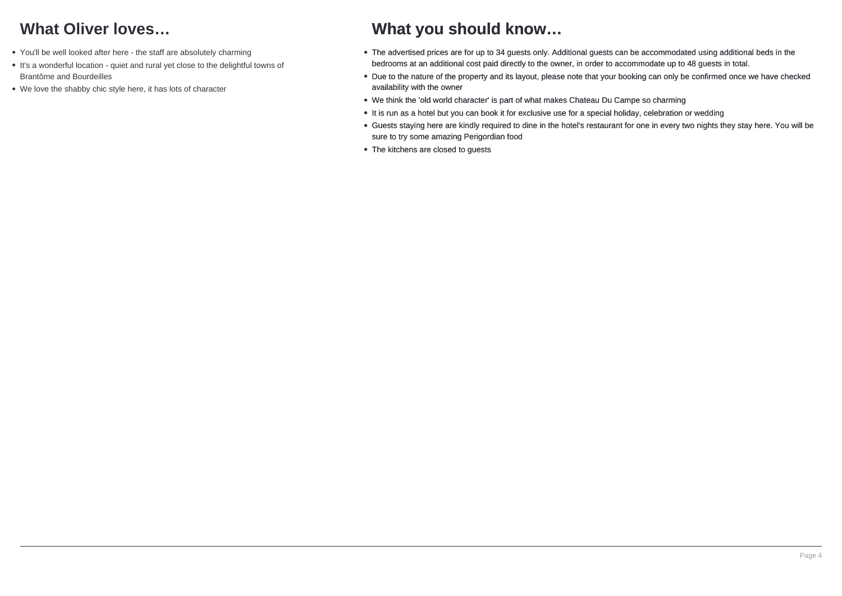## **What Oliver loves…**

- You'll be well looked after here the staff are absolutely charming
- It's a wonderful location quiet and rural yet close to the delightful towns of Brantôme and Bourdeilles
- We love the shabby chic style here, it has lots of character

## **What you should know…**

- The advertised prices are for up to 34 guests only. Additional guests can be accommodated using additional beds in the bedrooms at an additional cost paid directly to the owner, in order to accommodate up to 48 guests in total.
- Due to the nature of the property and its layout, please note that your booking can only be confirmed once we have checked availability with the owner
- We think the 'old world character' is part of what makes Chateau Du Campe so charming
- It is run as a hotel but you can book it for exclusive use for a special holiday, celebration or wedding
- Guests staying here are kindly required to dine in the hotel's restaurant for one in every two nights they stay here. You will be sure to try some amazing Perigordian food
- The kitchens are closed to guests